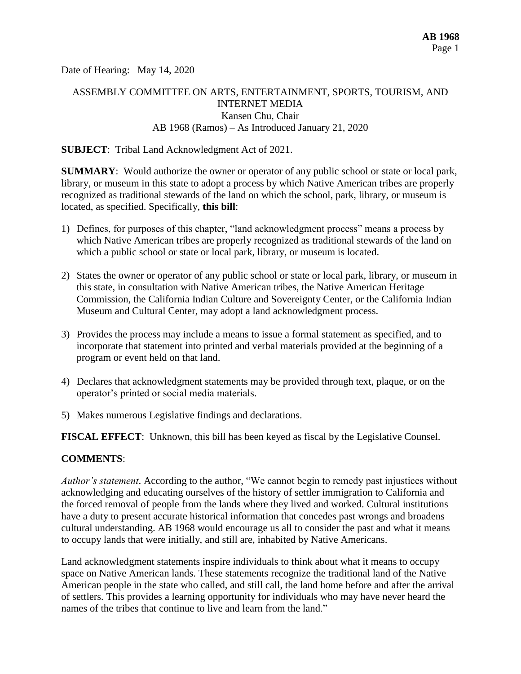Date of Hearing: May 14, 2020

# ASSEMBLY COMMITTEE ON ARTS, ENTERTAINMENT, SPORTS, TOURISM, AND INTERNET MEDIA Kansen Chu, Chair AB 1968 (Ramos) – As Introduced January 21, 2020

#### **SUBJECT**: Tribal Land Acknowledgment Act of 2021.

**SUMMARY**: Would authorize the owner or operator of any public school or state or local park, library, or museum in this state to adopt a process by which Native American tribes are properly recognized as traditional stewards of the land on which the school, park, library, or museum is located, as specified. Specifically, **this bill**:

- 1) Defines, for purposes of this chapter, "land acknowledgment process" means a process by which Native American tribes are properly recognized as traditional stewards of the land on which a public school or state or local park, library, or museum is located.
- 2) States the owner or operator of any public school or state or local park, library, or museum in this state, in consultation with Native American tribes, the Native American Heritage Commission, the California Indian Culture and Sovereignty Center, or the California Indian Museum and Cultural Center, may adopt a land acknowledgment process.
- 3) Provides the process may include a means to issue a formal statement as specified, and to incorporate that statement into printed and verbal materials provided at the beginning of a program or event held on that land.
- 4) Declares that acknowledgment statements may be provided through text, plaque, or on the operator's printed or social media materials.
- 5) Makes numerous Legislative findings and declarations.

**FISCAL EFFECT**: Unknown, this bill has been keyed as fiscal by the Legislative Counsel.

#### **COMMENTS**:

*Author's statement*. According to the author, "We cannot begin to remedy past injustices without acknowledging and educating ourselves of the history of settler immigration to California and the forced removal of people from the lands where they lived and worked. Cultural institutions have a duty to present accurate historical information that concedes past wrongs and broadens cultural understanding. AB 1968 would encourage us all to consider the past and what it means to occupy lands that were initially, and still are, inhabited by Native Americans.

Land acknowledgment statements inspire individuals to think about what it means to occupy space on Native American lands. These statements recognize the traditional land of the Native American people in the state who called, and still call, the land home before and after the arrival of settlers. This provides a learning opportunity for individuals who may have never heard the names of the tribes that continue to live and learn from the land."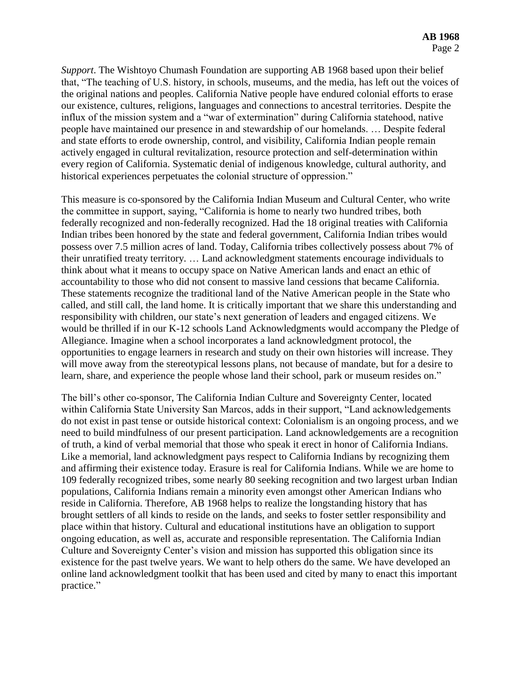*Support*. The Wishtoyo Chumash Foundation are supporting AB 1968 based upon their belief that, "The teaching of U.S. history, in schools, museums, and the media, has left out the voices of the original nations and peoples. California Native people have endured colonial efforts to erase our existence, cultures, religions, languages and connections to ancestral territories. Despite the influx of the mission system and a "war of extermination" during California statehood, native people have maintained our presence in and stewardship of our homelands. … Despite federal and state efforts to erode ownership, control, and visibility, California Indian people remain actively engaged in cultural revitalization, resource protection and self-determination within every region of California. Systematic denial of indigenous knowledge, cultural authority, and historical experiences perpetuates the colonial structure of oppression."

This measure is co-sponsored by the California Indian Museum and Cultural Center, who write the committee in support, saying, "California is home to nearly two hundred tribes, both federally recognized and non-federally recognized. Had the 18 original treaties with California Indian tribes been honored by the state and federal government, California Indian tribes would possess over 7.5 million acres of land. Today, California tribes collectively possess about 7% of their unratified treaty territory. … Land acknowledgment statements encourage individuals to think about what it means to occupy space on Native American lands and enact an ethic of accountability to those who did not consent to massive land cessions that became California. These statements recognize the traditional land of the Native American people in the State who called, and still call, the land home. It is critically important that we share this understanding and responsibility with children, our state's next generation of leaders and engaged citizens. We would be thrilled if in our K-12 schools Land Acknowledgments would accompany the Pledge of Allegiance. Imagine when a school incorporates a land acknowledgment protocol, the opportunities to engage learners in research and study on their own histories will increase. They will move away from the stereotypical lessons plans, not because of mandate, but for a desire to learn, share, and experience the people whose land their school, park or museum resides on."

The bill's other co-sponsor, The California Indian Culture and Sovereignty Center, located within California State University San Marcos, adds in their support, "Land acknowledgements do not exist in past tense or outside historical context: Colonialism is an ongoing process, and we need to build mindfulness of our present participation. Land acknowledgements are a recognition of truth, a kind of verbal memorial that those who speak it erect in honor of California Indians. Like a memorial, land acknowledgment pays respect to California Indians by recognizing them and affirming their existence today. Erasure is real for California Indians. While we are home to 109 federally recognized tribes, some nearly 80 seeking recognition and two largest urban Indian populations, California Indians remain a minority even amongst other American Indians who reside in California. Therefore, AB 1968 helps to realize the longstanding history that has brought settlers of all kinds to reside on the lands, and seeks to foster settler responsibility and place within that history. Cultural and educational institutions have an obligation to support ongoing education, as well as, accurate and responsible representation. The California Indian Culture and Sovereignty Center's vision and mission has supported this obligation since its existence for the past twelve years. We want to help others do the same. We have developed an online land acknowledgment toolkit that has been used and cited by many to enact this important practice."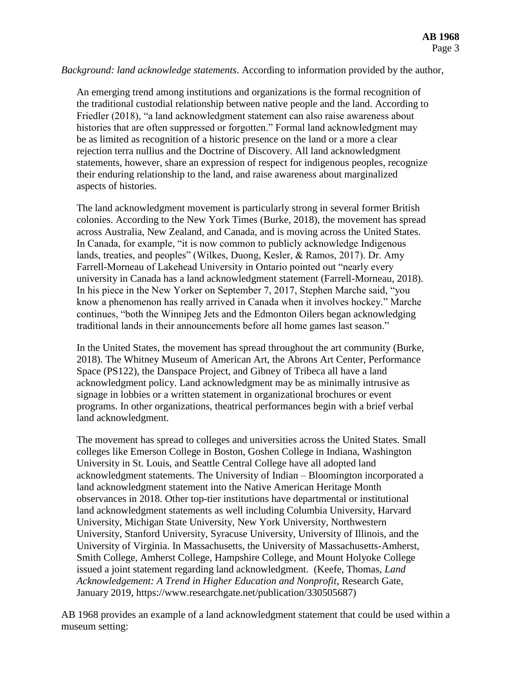#### *Background: land acknowledge statements*. According to information provided by the author,

An emerging trend among institutions and organizations is the formal recognition of the traditional custodial relationship between native people and the land. According to Friedler (2018), "a land acknowledgment statement can also raise awareness about histories that are often suppressed or forgotten." Formal land acknowledgment may be as limited as recognition of a historic presence on the land or a more a clear rejection terra nullius and the Doctrine of Discovery. All land acknowledgment statements, however, share an expression of respect for indigenous peoples, recognize their enduring relationship to the land, and raise awareness about marginalized aspects of histories.

The land acknowledgment movement is particularly strong in several former British colonies. According to the New York Times (Burke, 2018), the movement has spread across Australia, New Zealand, and Canada, and is moving across the United States. In Canada, for example, "it is now common to publicly acknowledge Indigenous lands, treaties, and peoples" (Wilkes, Duong, Kesler, & Ramos, 2017). Dr. Amy Farrell-Morneau of Lakehead University in Ontario pointed out "nearly every university in Canada has a land acknowledgment statement (Farrell-Morneau, 2018). In his piece in the New Yorker on September 7, 2017, Stephen Marche said, "you know a phenomenon has really arrived in Canada when it involves hockey." Marche continues, "both the Winnipeg Jets and the Edmonton Oilers began acknowledging traditional lands in their announcements before all home games last season."

In the United States, the movement has spread throughout the art community (Burke, 2018). The Whitney Museum of American Art, the Abrons Art Center, Performance Space (PS122), the Danspace Project, and Gibney of Tribeca all have a land acknowledgment policy. Land acknowledgment may be as minimally intrusive as signage in lobbies or a written statement in organizational brochures or event programs. In other organizations, theatrical performances begin with a brief verbal land acknowledgment.

The movement has spread to colleges and universities across the United States. Small colleges like Emerson College in Boston, Goshen College in Indiana, Washington University in St. Louis, and Seattle Central College have all adopted land acknowledgment statements. The University of Indian – Bloomington incorporated a land acknowledgment statement into the Native American Heritage Month observances in 2018. Other top-tier institutions have departmental or institutional land acknowledgment statements as well including Columbia University, Harvard University, Michigan State University, New York University, Northwestern University, Stanford University, Syracuse University, University of Illinois, and the University of Virginia. In Massachusetts, the University of Massachusetts-Amherst, Smith College, Amherst College, Hampshire College, and Mount Holyoke College issued a joint statement regarding land acknowledgment. (Keefe, Thomas, *Land Acknowledgement: A Trend in Higher Education and Nonprofit*, Research Gate, January 2019, https://www.researchgate.net/publication/330505687)

AB 1968 provides an example of a land acknowledgment statement that could be used within a museum setting: